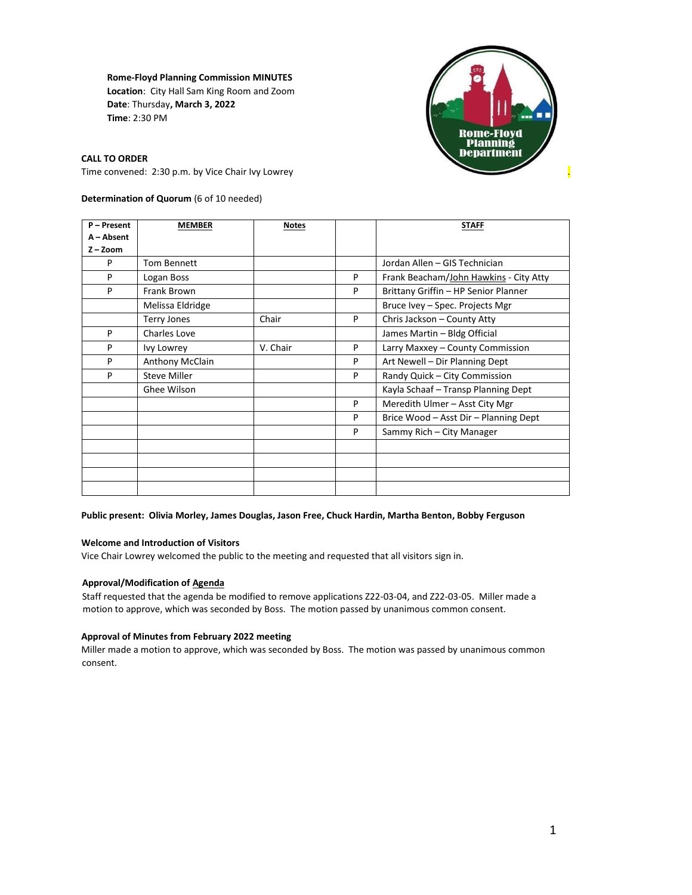**Rome-Floyd Planning Commission MINUTES Location**: City Hall Sam King Room and Zoom **Date**: Thursday**, March 3, 2022 Time**: 2:30 PM



**CALL TO ORDER** 

Time convened: 2:30 p.m. by Vice Chair Ivy Lowrey .

# **Determination of Quorum** (6 of 10 needed)

| P - Present | <b>MEMBER</b>       | <b>Notes</b> |   | <b>STAFF</b>                           |
|-------------|---------------------|--------------|---|----------------------------------------|
| A - Absent  |                     |              |   |                                        |
| $Z - Z$ oom |                     |              |   |                                        |
| P           | <b>Tom Bennett</b>  |              |   | Jordan Allen - GIS Technician          |
| P           | Logan Boss          |              | P | Frank Beacham/John Hawkins - City Atty |
| P           | Frank Brown         |              | P | Brittany Griffin - HP Senior Planner   |
|             | Melissa Eldridge    |              |   | Bruce Ivey - Spec. Projects Mgr        |
|             | <b>Terry Jones</b>  | Chair        | P | Chris Jackson - County Atty            |
| P           | Charles Love        |              |   | James Martin - Bldg Official           |
| P           | <b>Ivy Lowrey</b>   | V. Chair     | P | Larry Maxxey - County Commission       |
| P           | Anthony McClain     |              | P | Art Newell - Dir Planning Dept         |
| P           | <b>Steve Miller</b> |              | P | Randy Quick - City Commission          |
|             | Ghee Wilson         |              |   | Kayla Schaaf - Transp Planning Dept    |
|             |                     |              | P | Meredith Ulmer - Asst City Mgr         |
|             |                     |              | P | Brice Wood - Asst Dir - Planning Dept  |
|             |                     |              | P | Sammy Rich – City Manager              |
|             |                     |              |   |                                        |
|             |                     |              |   |                                        |
|             |                     |              |   |                                        |
|             |                     |              |   |                                        |

#### **Public present: Olivia Morley, James Douglas, Jason Free, Chuck Hardin, Martha Benton, Bobby Ferguson**

## **Welcome and Introduction of Visitors**

Vice Chair Lowrey welcomed the public to the meeting and requested that all visitors sign in.

## **Approval/Modification of Agenda**

Staff requested that the agenda be modified to remove applications Z22-03-04, and Z22-03-05. Miller made a motion to approve, which was seconded by Boss. The motion passed by unanimous common consent.

#### **Approval of Minutes from February 2022 meeting**

Miller made a motion to approve, which was seconded by Boss. The motion was passed by unanimous common consent.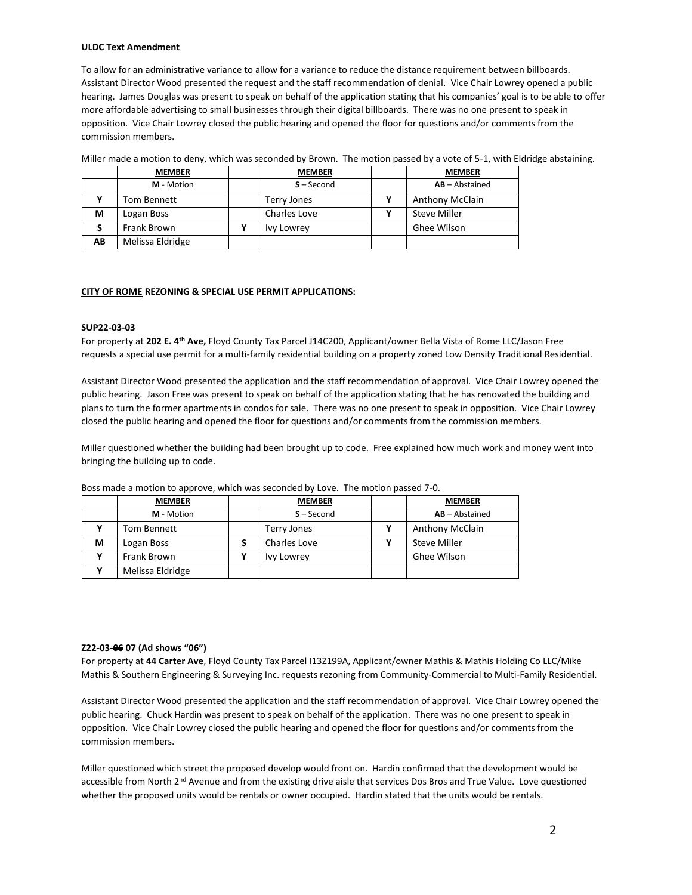#### **ULDC Text Amendment**

To allow for an administrative variance to allow for a variance to reduce the distance requirement between billboards. Assistant Director Wood presented the request and the staff recommendation of denial. Vice Chair Lowrey opened a public hearing. James Douglas was present to speak on behalf of the application stating that his companies' goal is to be able to offer more affordable advertising to small businesses through their digital billboards. There was no one present to speak in opposition. Vice Chair Lowrey closed the public hearing and opened the floor for questions and/or comments from the commission members.

|    | <b>MEMBER</b>    | <b>MEMBER</b> | <b>MEMBER</b>          |
|----|------------------|---------------|------------------------|
|    | M - Motion       | $S - Second$  | $AB - Abstractained$   |
|    | Tom Bennett      | Terry Jones   | <b>Anthony McClain</b> |
| М  | Logan Boss       | Charles Love  | Steve Miller           |
|    | Frank Brown      | Ivy Lowrey    | Ghee Wilson            |
| AB | Melissa Eldridge |               |                        |

Miller made a motion to deny, which was seconded by Brown. The motion passed by a vote of 5-1, with Eldridge abstaining.

#### **CITY OF ROME REZONING & SPECIAL USE PERMIT APPLICATIONS:**

#### **SUP22-03-03**

For property at **202 E. 4th Ave,** Floyd County Tax Parcel J14C200, Applicant/owner Bella Vista of Rome LLC/Jason Free requests a special use permit for a multi-family residential building on a property zoned Low Density Traditional Residential.

Assistant Director Wood presented the application and the staff recommendation of approval. Vice Chair Lowrey opened the public hearing. Jason Free was present to speak on behalf of the application stating that he has renovated the building and plans to turn the former apartments in condos for sale. There was no one present to speak in opposition. Vice Chair Lowrey closed the public hearing and opened the floor for questions and/or comments from the commission members.

Miller questioned whether the building had been brought up to code. Free explained how much work and money went into bringing the building up to code.

|   | <b>MEMBER</b>    | <b>MEMBER</b>     | <b>MEMBER</b>          |
|---|------------------|-------------------|------------------------|
|   | M - Motion       | $S - Second$      | $AB - Abstract$        |
|   | Tom Bennett      | Terry Jones       | <b>Anthony McClain</b> |
| М | Logan Boss       | Charles Love      | <b>Steve Miller</b>    |
|   | Frank Brown      | <b>Ivy Lowrey</b> | Ghee Wilson            |
|   | Melissa Eldridge |                   |                        |

Boss made a motion to approve, which was seconded by Love. The motion passed 7-0.

#### **Z22-03-06 07 (Ad shows "06")**

For property at **44 Carter Ave**, Floyd County Tax Parcel I13Z199A, Applicant/owner Mathis & Mathis Holding Co LLC/Mike Mathis & Southern Engineering & Surveying Inc. requests rezoning from Community-Commercial to Multi-Family Residential.

Assistant Director Wood presented the application and the staff recommendation of approval. Vice Chair Lowrey opened the public hearing. Chuck Hardin was present to speak on behalf of the application. There was no one present to speak in opposition. Vice Chair Lowrey closed the public hearing and opened the floor for questions and/or comments from the commission members.

Miller questioned which street the proposed develop would front on. Hardin confirmed that the development would be accessible from North 2<sup>nd</sup> Avenue and from the existing drive aisle that services Dos Bros and True Value. Love questioned whether the proposed units would be rentals or owner occupied. Hardin stated that the units would be rentals.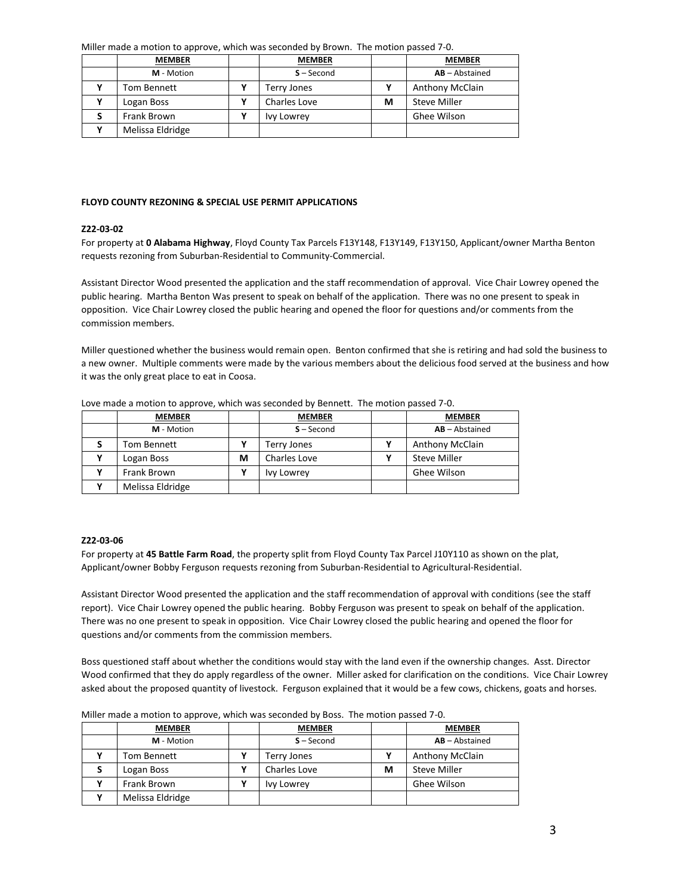Miller made a motion to approve, which was seconded by Brown. The motion passed 7-0.

| <b>MEMBER</b>    | <b>MEMBER</b> |   | <b>MEMBER</b>        |
|------------------|---------------|---|----------------------|
| M - Motion       | $S - Second$  |   | $AB - Abstractained$ |
| Tom Bennett      | Terry Jones   |   | Anthony McClain      |
| Logan Boss       | Charles Love  | м | <b>Steve Miller</b>  |
| Frank Brown      | Ivy Lowrey    |   | Ghee Wilson          |
| Melissa Eldridge |               |   |                      |

#### **FLOYD COUNTY REZONING & SPECIAL USE PERMIT APPLICATIONS**

#### **Z22-03-02**

For property at **0 Alabama Highway**, Floyd County Tax Parcels F13Y148, F13Y149, F13Y150, Applicant/owner Martha Benton requests rezoning from Suburban-Residential to Community-Commercial.

Assistant Director Wood presented the application and the staff recommendation of approval. Vice Chair Lowrey opened the public hearing. Martha Benton Was present to speak on behalf of the application. There was no one present to speak in opposition. Vice Chair Lowrey closed the public hearing and opened the floor for questions and/or comments from the commission members.

Miller questioned whether the business would remain open. Benton confirmed that she is retiring and had sold the business to a new owner. Multiple comments were made by the various members about the delicious food served at the business and how it was the only great place to eat in Coosa.

|  | <b>MEMBER</b>    |   | <b>MEMBER</b> |  | <b>MEMBER</b>          |  |
|--|------------------|---|---------------|--|------------------------|--|
|  | M - Motion       |   | $S - Second$  |  | $AB - Abstractained$   |  |
|  | Tom Bennett      |   | Terry Jones   |  | <b>Anthony McClain</b> |  |
|  | Logan Boss       | м | Charles Love  |  | <b>Steve Miller</b>    |  |
|  | Frank Brown      |   | Ivy Lowrey    |  | Ghee Wilson            |  |
|  | Melissa Eldridge |   |               |  |                        |  |

Love made a motion to approve, which was seconded by Bennett. The motion passed 7-0.

## **Z22-03-06**

For property at **45 Battle Farm Road**, the property split from Floyd County Tax Parcel J10Y110 as shown on the plat, Applicant/owner Bobby Ferguson requests rezoning from Suburban-Residential to Agricultural-Residential.

Assistant Director Wood presented the application and the staff recommendation of approval with conditions (see the staff report). Vice Chair Lowrey opened the public hearing. Bobby Ferguson was present to speak on behalf of the application. There was no one present to speak in opposition. Vice Chair Lowrey closed the public hearing and opened the floor for questions and/or comments from the commission members.

Boss questioned staff about whether the conditions would stay with the land even if the ownership changes. Asst. Director Wood confirmed that they do apply regardless of the owner. Miller asked for clarification on the conditions. Vice Chair Lowrey asked about the proposed quantity of livestock. Ferguson explained that it would be a few cows, chickens, goats and horses.

| <b>MEMBER</b>    | <b>MEMBER</b> |   | <b>MEMBER</b>          |
|------------------|---------------|---|------------------------|
| M - Motion       | $S - Second$  |   | $AB - Abstractained$   |
| Tom Bennett      | Terry Jones   |   | <b>Anthony McClain</b> |
| Logan Boss       | Charles Love  | М | <b>Steve Miller</b>    |
| Frank Brown      | Ivy Lowrey    |   | Ghee Wilson            |
| Melissa Eldridge |               |   |                        |

Miller made a motion to approve, which was seconded by Boss. The motion passed 7-0.